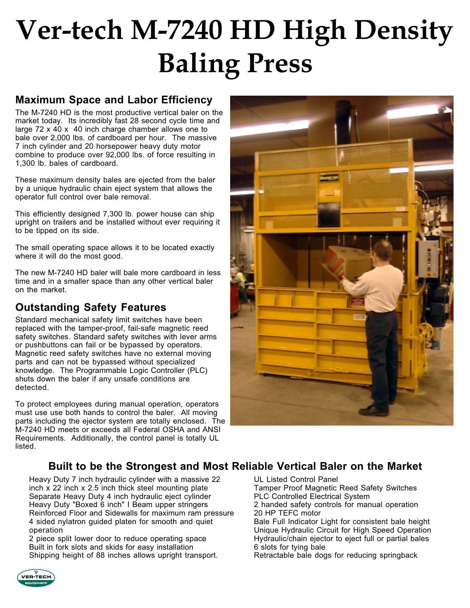# **Ver-tech M-7240 HD High Density Baling Press**

#### **Maximum Space and Labor Efficiency**

The M-7240 HD is the most productive vertical baler on the market today. Its incredibly fast 28 second cycle time and large 72 x 40 x 40 inch charge chamber allows one to bale over 2,000 lbs. of cardboard per hour. The massive 7 inch cylinder and 20 horsepower heavy duty motor combine to produce over 92,000 lbs. of force resulting in 1,300 lb. bales of cardboard.

These maximum density bales are ejected from the baler by a unique hydraulic chain eject system that allows the operator full control over bale removal.

This efficiently designed 7,300 lb. power house can ship upright on trailers and be installed without ever requiring it to be tipped on its side.

The small operating space allows it to be located exactly where it will do the most good.

The new M-7240 HD baler will bale more cardboard in less time and in a smaller space than any other vertical baler on the market.

## **Outstanding Safety Features**

Standard mechanical safety limit switches have been replaced with the tamper-proof, fail-safe magnetic reed safety switches. Standard safety switches with lever arms or pushbuttons can fail or be bypassed by operators. Magnetic reed safety switches have no external moving parts and can not be bypassed without specialized knowledge. The Programmable Logic Controller (PLC) shuts down the baler if any unsafe conditions are detected.

To protect employees during manual operation, operators must use use both hands to control the baler. All moving parts including the ejector system are totally enclosed. The M-7240 HD meets or exceeds all Federal OSHA and ANSI Requirements. Additionally, the control panel is totally UL listed.



### **Built to be the Strongest and Most Reliable Vertical Baler on the Market**

Heavy Duty 7 inch hydraulic cylinder with a massive 22 inch x 22 inch x 2.5 inch thick steel mounting plate Separate Heavy Duty 4 inch hydraulic eject cylinder Heavy Duty "Boxed 6 inch" I Beam upper stringers Reinforced Floor and Sidewalls for maximum ram pressure 4 sided nylatron guided platen for smooth and quiet operation

2 piece split lower door to reduce operating space Built in fork slots and skids for easy installation Shipping height of 88 inches allows upright transport. UL Listed Control Panel

Tamper Proof Magnetic Reed Safety Switches PLC Controlled Electrical System 2 handed safety controls for manual operation 20 HP TEFC motor Bale Full Indicator Light for consistent bale height Unique Hydraulic Circuit for High Speed Operation

Hydraulic/chain ejector to eject full or partial bales 6 slots for tying bale Retractable bale dogs for reducing springback